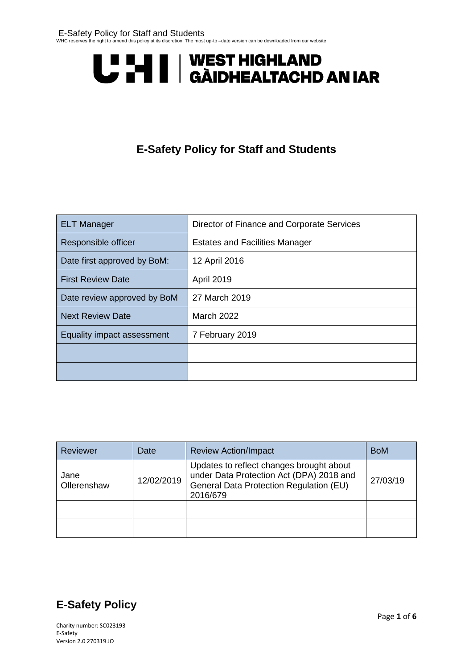# U LI | WEST HIGHLAND<br>U LI | GÀIDHEALTACHD AN IAR

# **E-Safety Policy for Staff and Students**

| <b>ELT Manager</b>                            | Director of Finance and Corporate Services |  |
|-----------------------------------------------|--------------------------------------------|--|
| Responsible officer                           | <b>Estates and Facilities Manager</b>      |  |
| Date first approved by BoM:                   | 12 April 2016                              |  |
| <b>First Review Date</b>                      | <b>April 2019</b>                          |  |
| Date review approved by BoM                   | 27 March 2019                              |  |
| <b>Next Review Date</b>                       | <b>March 2022</b>                          |  |
| Equality impact assessment<br>7 February 2019 |                                            |  |
|                                               |                                            |  |
|                                               |                                            |  |

| Reviewer            | Date       | <b>Review Action/Impact</b>                                                                                                                 | <b>BoM</b> |
|---------------------|------------|---------------------------------------------------------------------------------------------------------------------------------------------|------------|
| Jane<br>Ollerenshaw | 12/02/2019 | Updates to reflect changes brought about<br>under Data Protection Act (DPA) 2018 and<br>General Data Protection Regulation (EU)<br>2016/679 | 27/03/19   |
|                     |            |                                                                                                                                             |            |
|                     |            |                                                                                                                                             |            |



Charity number: SC023193 E-Safety Version 2.0 270319 JO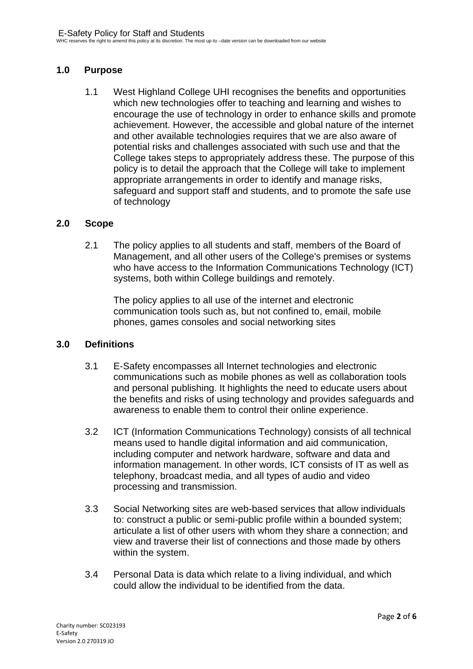# **1.0 Purpose**

1.1 West Highland College UHI recognises the benefits and opportunities which new technologies offer to teaching and learning and wishes to encourage the use of technology in order to enhance skills and promote achievement. However, the accessible and global nature of the internet and other available technologies requires that we are also aware of potential risks and challenges associated with such use and that the College takes steps to appropriately address these. The purpose of this policy is to detail the approach that the College will take to implement appropriate arrangements in order to identify and manage risks, safeguard and support staff and students, and to promote the safe use of technology

#### **2.0 Scope**

2.1 The policy applies to all students and staff, members of the Board of Management, and all other users of the College's premises or systems who have access to the Information Communications Technology (ICT) systems, both within College buildings and remotely.

The policy applies to all use of the internet and electronic communication tools such as, but not confined to, email, mobile phones, games consoles and social networking sites

#### **3.0 Definitions**

- 3.1 E-Safety encompasses all Internet technologies and electronic communications such as mobile phones as well as collaboration tools and personal publishing. It highlights the need to educate users about the benefits and risks of using technology and provides safeguards and awareness to enable them to control their online experience.
- 3.2 ICT (Information Communications Technology) consists of all technical means used to handle digital information and aid communication, including computer and network hardware, software and data and information management. In other words, ICT consists of IT as well as telephony, broadcast media, and all types of audio and video processing and transmission.
- 3.3 Social Networking sites are web-based services that allow individuals to: construct a public or semi-public profile within a bounded system; articulate a list of other users with whom they share a connection; and view and traverse their list of connections and those made by others within the system.
- 3.4 Personal Data is data which relate to a living individual, and which could allow the individual to be identified from the data.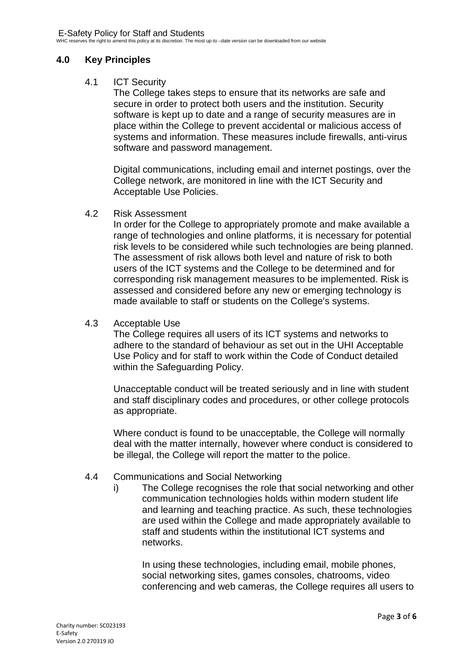## **4.0 Key Principles**

## 4.1 ICT Security

The College takes steps to ensure that its networks are safe and secure in order to protect both users and the institution. Security software is kept up to date and a range of security measures are in place within the College to prevent accidental or malicious access of systems and information. These measures include firewalls, anti-virus software and password management.

Digital communications, including email and internet postings, over the College network, are monitored in line with the ICT Security and Acceptable Use Policies.

#### 4.2 Risk Assessment

In order for the College to appropriately promote and make available a range of technologies and online platforms, it is necessary for potential risk levels to be considered while such technologies are being planned. The assessment of risk allows both level and nature of risk to both users of the ICT systems and the College to be determined and for corresponding risk management measures to be implemented. Risk is assessed and considered before any new or emerging technology is made available to staff or students on the College's systems.

#### 4.3 Acceptable Use

The College requires all users of its ICT systems and networks to adhere to the standard of behaviour as set out in the UHI Acceptable Use Policy and for staff to work within the Code of Conduct detailed within the Safeguarding Policy.

Unacceptable conduct will be treated seriously and in line with student and staff disciplinary codes and procedures, or other college protocols as appropriate.

Where conduct is found to be unacceptable, the College will normally deal with the matter internally, however where conduct is considered to be illegal, the College will report the matter to the police.

# 4.4 Communications and Social Networking

i) The College recognises the role that social networking and other communication technologies holds within modern student life and learning and teaching practice. As such, these technologies are used within the College and made appropriately available to staff and students within the institutional ICT systems and networks.

In using these technologies, including email, mobile phones, social networking sites, games consoles, chatrooms, video conferencing and web cameras, the College requires all users to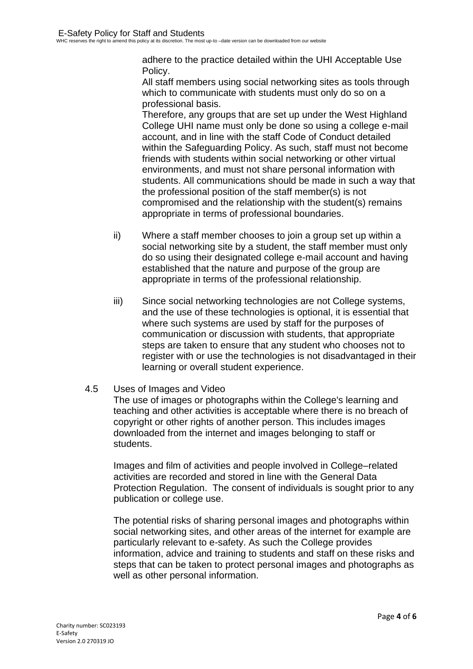adhere to the practice detailed within the UHI Acceptable Use Policy.

All staff members using social networking sites as tools through which to communicate with students must only do so on a professional basis.

Therefore, any groups that are set up under the West Highland College UHI name must only be done so using a college e-mail account, and in line with the staff Code of Conduct detailed within the Safeguarding Policy. As such, staff must not become friends with students within social networking or other virtual environments, and must not share personal information with students. All communications should be made in such a way that the professional position of the staff member(s) is not compromised and the relationship with the student(s) remains appropriate in terms of professional boundaries.

- ii) Where a staff member chooses to join a group set up within a social networking site by a student, the staff member must only do so using their designated college e-mail account and having established that the nature and purpose of the group are appropriate in terms of the professional relationship.
- iii) Since social networking technologies are not College systems, and the use of these technologies is optional, it is essential that where such systems are used by staff for the purposes of communication or discussion with students, that appropriate steps are taken to ensure that any student who chooses not to register with or use the technologies is not disadvantaged in their learning or overall student experience.
- 4.5 Uses of Images and Video

The use of images or photographs within the College's learning and teaching and other activities is acceptable where there is no breach of copyright or other rights of another person. This includes images downloaded from the internet and images belonging to staff or students.

Images and film of activities and people involved in College–related activities are recorded and stored in line with the General Data Protection Regulation. The consent of individuals is sought prior to any publication or college use.

The potential risks of sharing personal images and photographs within social networking sites, and other areas of the internet for example are particularly relevant to e-safety. As such the College provides information, advice and training to students and staff on these risks and steps that can be taken to protect personal images and photographs as well as other personal information.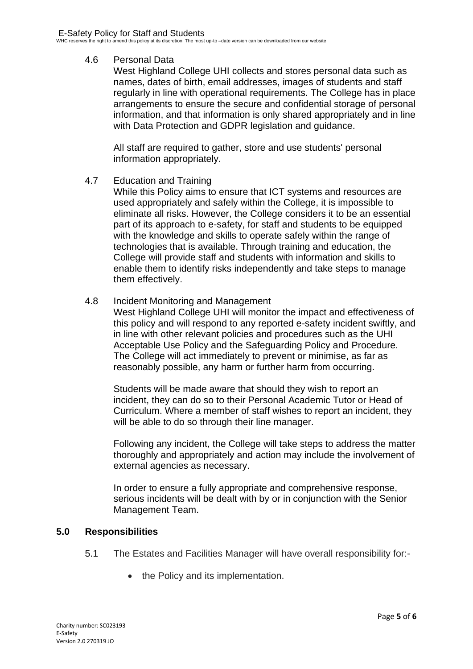# 4.6 Personal Data

West Highland College UHI collects and stores personal data such as names, dates of birth, email addresses, images of students and staff regularly in line with operational requirements. The College has in place arrangements to ensure the secure and confidential storage of personal information, and that information is only shared appropriately and in line with Data Protection and GDPR legislation and guidance.

All staff are required to gather, store and use students' personal information appropriately.

# 4.7 Education and Training

While this Policy aims to ensure that ICT systems and resources are used appropriately and safely within the College, it is impossible to eliminate all risks. However, the College considers it to be an essential part of its approach to e-safety, for staff and students to be equipped with the knowledge and skills to operate safely within the range of technologies that is available. Through training and education, the College will provide staff and students with information and skills to enable them to identify risks independently and take steps to manage them effectively.

# 4.8 Incident Monitoring and Management

West Highland College UHI will monitor the impact and effectiveness of this policy and will respond to any reported e-safety incident swiftly, and in line with other relevant policies and procedures such as the UHI Acceptable Use Policy and the Safeguarding Policy and Procedure. The College will act immediately to prevent or minimise, as far as reasonably possible, any harm or further harm from occurring.

Students will be made aware that should they wish to report an incident, they can do so to their Personal Academic Tutor or Head of Curriculum. Where a member of staff wishes to report an incident, they will be able to do so through their line manager.

Following any incident, the College will take steps to address the matter thoroughly and appropriately and action may include the involvement of external agencies as necessary.

In order to ensure a fully appropriate and comprehensive response, serious incidents will be dealt with by or in conjunction with the Senior Management Team.

# **5.0 Responsibilities**

- 5.1 The Estates and Facilities Manager will have overall responsibility for:-
	- the Policy and its implementation.